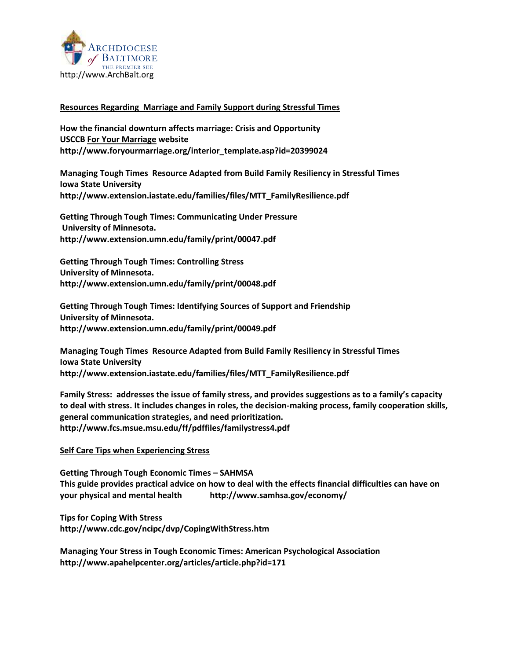

## **Resources Regarding Marriage and Family Support during Stressful Times**

**How the financial downturn affects marriage: Crisis and Opportunity USCCB For Your Marriage website [http://www.foryourmarriage.org/interior\\_template.asp?id=20399024](http://www.foryourmarriage.org/interior_template.asp?id=20399024)**

**Managing Tough Times Resource Adapted from Build Family Resiliency in Stressful Times Iowa State University [http://www.extension.iastate.edu/families/files/MTT\\_FamilyResilience.pdf](http://www.extension.iastate.edu/families/files/MTT_FamilyResilience.pdf)**

**Getting Through Tough Times: Communicating Under Pressure University of Minnesota. <http://www.extension.umn.edu/family/print/00047.pdf>**

**Getting Through Tough Times: Controlling Stress University of Minnesota. <http://www.extension.umn.edu/family/print/00048.pdf>**

**Getting Through Tough Times: Identifying Sources of Support and Friendship University of Minnesota. <http://www.extension.umn.edu/family/print/00049.pdf>**

**Managing Tough Times Resource Adapted from Build Family Resiliency in Stressful Times Iowa State University [http://www.extension.iastate.edu/families/files/MTT\\_FamilyResilience.pdf](http://www.extension.iastate.edu/families/files/MTT_FamilyResilience.pdf)**

**Family Stress: addresses the issue of family stress, and provides suggestions as to a family's capacity to deal with stress. It includes changes in roles, the decision-making process, family cooperation skills, general communication strategies, and need prioritization. <http://www.fcs.msue.msu.edu/ff/pdffiles/familystress4.pdf>**

## **Self Care Tips when Experiencing Stress**

**Getting Through Tough Economic Times – SAHMSA This guide provides practical advice on how to deal with the effects financial difficulties can have on your physical and mental health <http://www.samhsa.gov/economy/>**

**Tips for Coping With Stress <http://www.cdc.gov/ncipc/dvp/CopingWithStress.htm>**

**Managing Your Stress in Tough Economic Times: American Psychological Association <http://www.apahelpcenter.org/articles/article.php?id=171>**